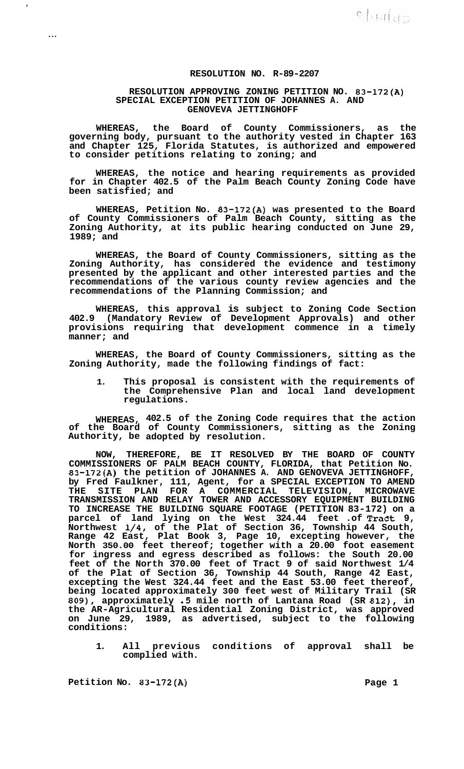## **RESOLUTION NO. R-89-2207**

## **RESOLUTION APPROVING ZONING PETITION NO. 83-172(A) SPECIAL EXCEPTION PETITION OF JOHANNES A. AND GENOVEVA JETTINGHOFF**

**WHEREAS, the Board of County Commissioners, as the governing body, pursuant to the authority vested in Chapter 163 and Chapter 125, Florida Statutes, is authorized and empowered to consider petitions relating to zoning; and** 

**WHEREAS, the notice and hearing requirements as provided for in Chapter 402.5 of the Palm Beach County Zoning Code have been satisfied; and** 

**WHEREAS, Petition No. 83-172(A) was presented to the Board of County Commissioners of Palm Beach County, sitting as the Zoning Authority, at its public hearing conducted on June 29, 1989; and** 

**WHEREAS, the Board of County Commissioners, sitting as the Zoning Authority, has considered the evidence and testimony presented by the applicant and other interested parties and the recommendations of the various county review agencies and the recommendations of the Planning Commission; and** 

**WHEREAS, this approval is subject to Zoning Code Section 402.9 (Mandatory Review of Development Approvals) and other provisions requiring that development commence in a timely manner; and** 

**WHEREAS, the Board of County Commissioners, sitting as the Zoning Authority, made the following findings of fact:** 

**1. This proposal is consistent with the requirements of the Comprehensive Plan and local land development regulations.** 

**WHEREAS, 402.5 of the Zoning Code requires that the action of the Board of County Commissioners, sitting as the Zoning Authority, be adopted by resolution.** 

**NOW, THEREFORE, BE IT RESOLVED BY THE BOARD OF COUNTY COMMISSIONERS OF PALM BEACH COUNTY, FLORIDA, that Petition No. 83-172(A) the petition of JOHANNES A. AND GENOVEVA JETTINGHOFF, by Fred Faulkner, 111, Agent, for a SPECIAL EXCEPTION TO AMEND THE SITE PLAN FOR A COMMERCIAL TELEVISION, MICROWAVE TRANSMISSION AND RELAY TOWER AND ACCESSORY EQUIPMENT BUILDING TO INCREASE THE BUILDING SQUARE FOOTAGE (PETITION 83-172) on a parcel of land lying on the West 324.44 feet .of Tract 9, Northwest 1/4, of the Plat of Section 36, Township 44 South, Range 42 East, Plat Book 3, Page 10, excepting however, the North 350.00 feet thereof; together with a 20.00 foot easement for ingress and egress described as follows: the South 20.00 feet of the North 370.00 feet of Tract 9 of said Northwest 1/4 of the Plat of Section 36, Township 44 South, Range 42 East, excepting the West 324.44 feet and the East 53.00 feet thereof, being located approximately 300 feet west of Military Trail (SR 809), approximately .5 mile north of Lantana Road (SR 812), in the AR-Agricultural Residential Zoning District, was approved on June 29, 1989, as advertised, subject to the following conditions:** 

**1. All previous conditions of approval shall be complied with.** 

Petition No. 83-172(A) Page 1

,

...